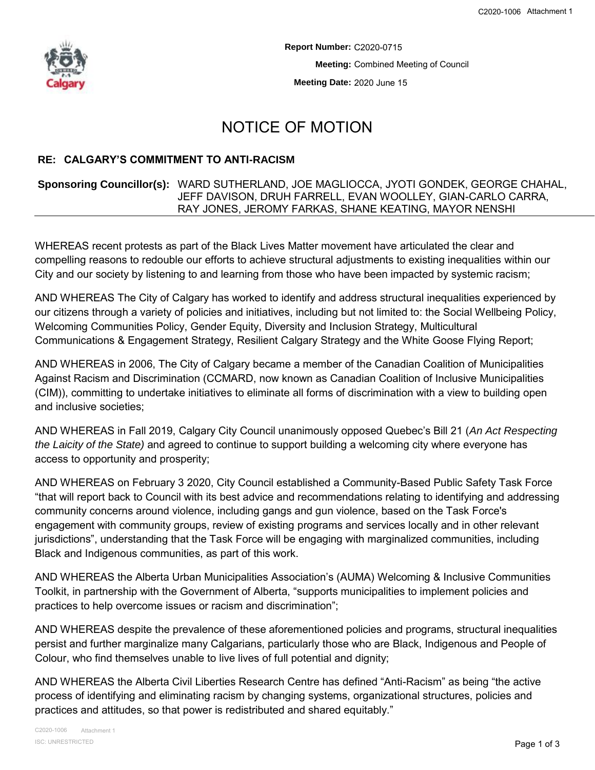

**Report Number:** C2020-0715 **Meeting:** Combined Meeting of Council **Meeting Date:** 2020 June 15

## NOTICE OF MOTION

## **RE: CALGARY'S COMMITMENT TO ANTI-RACISM**

## **Sponsoring Councillor(s):** WARD SUTHERLAND, JOE MAGLIOCCA, JYOTI GONDEK, GEORGE CHAHAL, JEFF DAVISON, DRUH FARRELL, EVAN WOOLLEY, GIAN-CARLO CARRA, RAY JONES, JEROMY FARKAS, SHANE KEATING, MAYOR NENSHI

WHEREAS recent protests as part of the Black Lives Matter movement have articulated the clear and compelling reasons to redouble our efforts to achieve structural adjustments to existing inequalities within our City and our society by listening to and learning from those who have been impacted by systemic racism;

AND WHEREAS The City of Calgary has worked to identify and address structural inequalities experienced by our citizens through a variety of policies and initiatives, including but not limited to: the Social Wellbeing Policy, Welcoming Communities Policy, Gender Equity, Diversity and Inclusion Strategy, Multicultural Communications & Engagement Strategy, Resilient Calgary Strategy and the White Goose Flying Report;

AND WHEREAS in 2006, The City of Calgary became a member of the Canadian Coalition of Municipalities Against Racism and Discrimination (CCMARD, now known as Canadian Coalition of Inclusive Municipalities (CIM)), committing to undertake initiatives to eliminate all forms of discrimination with a view to building open and inclusive societies;

AND WHEREAS in Fall 2019, Calgary City Council unanimously opposed Quebec's Bill 21 (*An Act Respecting the Laicity of the State)* and agreed to continue to support building a welcoming city where everyone has access to opportunity and prosperity;

AND WHEREAS on February 3 2020, City Council established a Community-Based Public Safety Task Force "that will report back to Council with its best advice and recommendations relating to identifying and addressing community concerns around violence, including gangs and gun violence, based on the Task Force's engagement with community groups, review of existing programs and services locally and in other relevant jurisdictions", understanding that the Task Force will be engaging with marginalized communities, including Black and Indigenous communities, as part of this work.

AND WHEREAS the Alberta Urban Municipalities Association's (AUMA) Welcoming & Inclusive Communities Toolkit, in partnership with the Government of Alberta, "supports municipalities to implement policies and practices to help overcome issues or racism and discrimination";

AND WHEREAS despite the prevalence of these aforementioned policies and programs, structural inequalities persist and further marginalize many Calgarians, particularly those who are Black, Indigenous and People of Colour, who find themselves unable to live lives of full potential and dignity;

AND WHEREAS the Alberta Civil Liberties Research Centre has defined "Anti-Racism" as being "the active process of identifying and eliminating racism by changing systems, organizational structures, policies and practices and attitudes, so that power is redistributed and shared equitably."